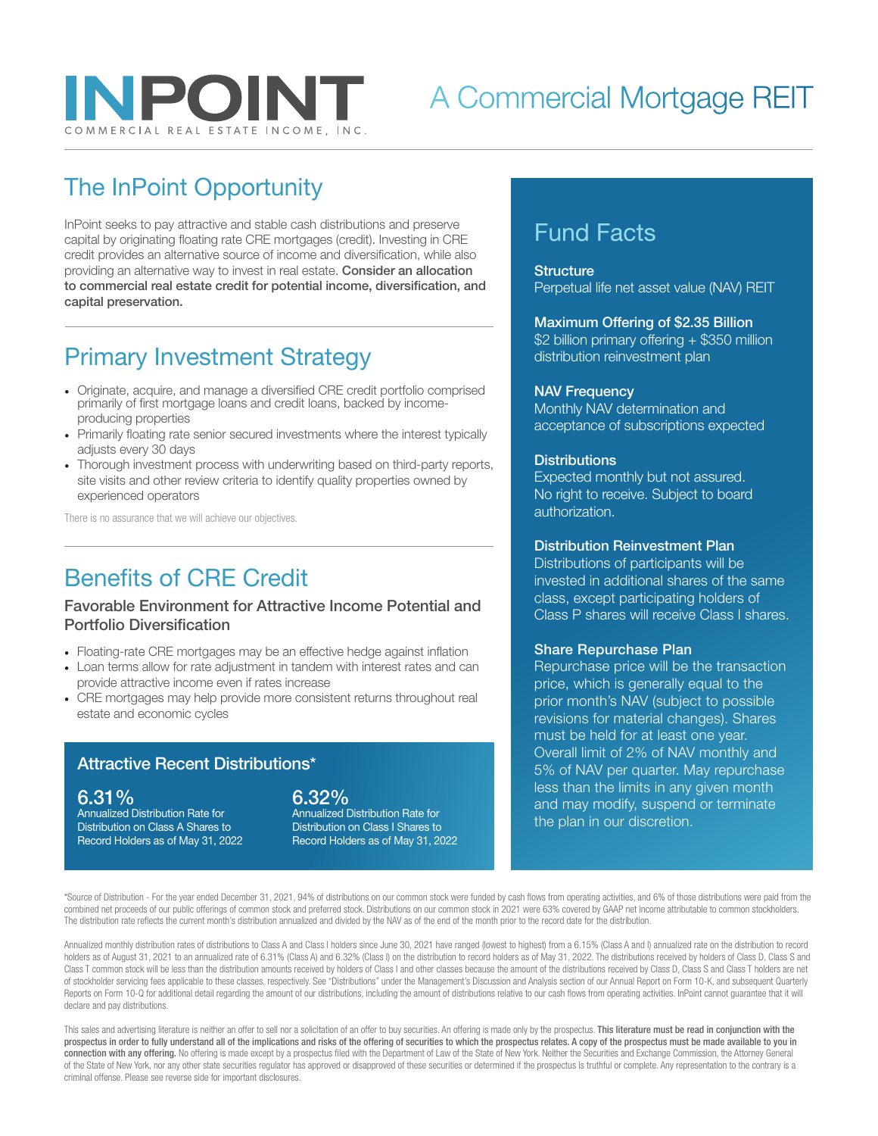

# A Commercial Mortgage REIT

# The InPoint Opportunity

InPoint seeks to pay attractive and stable cash distributions and preserve capital by originating floating rate CRE mortgages (credit). Investing in CRE credit provides an alternative source of income and diversification, while also providing an alternative way to invest in real estate. Consider an allocation to commercial real estate credit for potential income, diversification, and capital preservation.

## Primary Investment Strategy

- Originate, acquire, and manage a diversified CRE credit portfolio comprised primarily of first mortgage loans and credit loans, backed by incomeproducing properties
- Primarily floating rate senior secured investments where the interest typically adjusts every 30 days
- Thorough investment process with underwriting based on third-party reports, site visits and other review criteria to identify quality properties owned by experienced operators

There is no assurance that we will achieve our objectives.

## Benefits of CRE Credit

#### Favorable Environment for Attractive Income Potential and Portfolio Diversification

- Floating-rate CRE mortgages may be an effective hedge against inflation
- Loan terms allow for rate adjustment in tandem with interest rates and can provide attractive income even if rates increase
- CRE mortgages may help provide more consistent returns throughout real estate and economic cycles

### Attractive Recent Distributions\*

#### 6.31%

Annualized Distribution Rate for Distribution on Class A Shares to Record Holders as of May 31, 2022

### 6.32%

Annualized Distribution Rate for Distribution on Class I Shares to Record Holders as of May 31, 2022

## Fund Facts

#### **Structure**

Perpetual life net asset value (NAV) REIT

Maximum Offering of \$2.35 Billion \$2 billion primary offering + \$350 million distribution reinvestment plan

#### NAV Frequency

Monthly NAV determination and acceptance of subscriptions expected

#### **Distributions**

Expected monthly but not assured. No right to receive. Subject to board authorization.

#### Distribution Reinvestment Plan

Distributions of participants will be invested in additional shares of the same class, except participating holders of Class P shares will receive Class I shares.

#### Share Repurchase Plan

Repurchase price will be the transaction price, which is generally equal to the prior month's NAV (subject to possible revisions for material changes). Shares must be held for at least one year. Overall limit of 2% of NAV monthly and 5% of NAV per quarter. May repurchase less than the limits in any given month and may modify, suspend or terminate the plan in our discretion.

\*Source of Distribution - For the year ended December 31, 2021, 94% of distributions on our common stock were funded by cash flows from operating activities, and 6% of those distributions were paid from the combined net proceeds of our public offerings of common stock and preferred stock. Distributions on our common stock in 2021 were 63% covered by GAAP net income attributable to common stockholders. The distribution rate reflects the current month's distribution annualized and divided by the NAV as of the end of the month prior to the record date for the distribution.

Annualized monthly distribution rates of distributions to Class A and Class I holders since June 30, 2021 have ranged (lowest to highest) from a 6.15% (Class A and I) annualized rate on the distribution to record holders as of August 31, 2021 to an annualized rate of 6.31% (Class A) and 6.32% (Class I) on the distribution to record holders as of May 31, 2022. The distributions received by holders of Class D, Class S and Class T common stock will be less than the distribution amounts received by holders of Class I and other classes because the amount of the distributions received by Class D, Class S and Class T holders are net of stockholder servicing fees applicable to these classes, respectively. See "Distributions" under the Management's Discussion and Analysis section of our Annual Report on Form 10-K, and subsequent Quarterly Reports on Form 10-Q for additional detail regarding the amount of our distributions, including the amount of distributions relative to our cash flows from operating activities. InPoint cannot guarantee that it will declare and pay distributions.

This sales and advertising literature is neither an offer to sell nor a solicitation of an offer to buy securities. An offering is made only by the prospectus. This literature must be read in conjunction with the prospectus in order to fully understand all of the implications and risks of the offering of securities to which the prospectus relates. A copy of the prospectus must be made available to you in connection with any offering. No offering is made except by a prospectus filed with the Department of Law of the State of New York. Neither the Securities and Exchange Commission, the Attorney General of the State of New York, nor any other state securities regulator has approved or disapproved of these securities or determined if the prospectus is truthful or complete. Any representation to the contrary is a criminal offense. Please see reverse side for important disclosures.